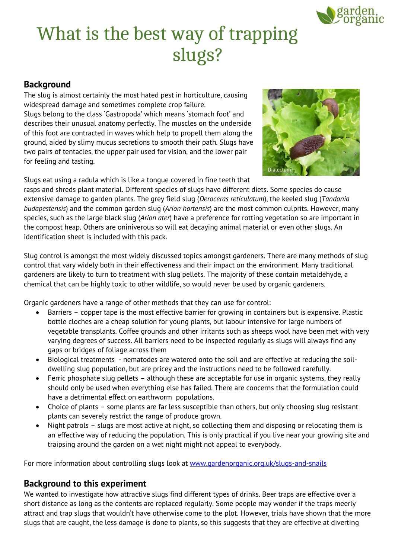

# What is the best way of trapping slugs?

## **Background**

The slug is almost certainly the most hated pest in horticulture, causing widespread damage and sometimes complete crop failure. Slugs belong to the class 'Gastropoda' which means 'stomach foot' and describes their unusual anatomy perfectly. The muscles on the underside of this foot are contracted in waves which help to propell them along the ground, aided by slimy mucus secretions to smooth their path. Slugs have two pairs of tentacles, the upper pair used for vision, and the lower pair for feeling and tasting.



Slugs eat using a radula which is like a tongue covered in fine teeth that

rasps and shreds plant material. Different species of slugs have different diets. Some species do cause extensive damage to garden plants. The grey field slug (*Deroceras reticulatum*), the keeled slug (*Tandonia budapestensis*) and the common garden slug (*Arion hortensis*) are the most common culprits. However, many species, such as the large black slug (*Arion ater*) have a preference for rotting vegetation so are important in the compost heap. Others are oniniverous so will eat decaying animal material or even other slugs. An identification sheet is included with this pack.

Slug control is amongst the most widely discussed topics amongst gardeners. There are many methods of slug control that vary widely both in their effectiveness and their impact on the environment. Many traditional gardeners are likely to turn to treatment with slug pellets. The majority of these contain metaldehyde, a chemical that can be highly toxic to other wildlife, so would never be used by organic gardeners.

Organic gardeners have a range of other methods that they can use for control:

- Barriers copper tape is the most effective barrier for growing in containers but is expensive. Plastic bottle cloches are a cheap solution for young plants, but labour intensive for large numbers of vegetable transplants. Coffee grounds and other irritants such as sheeps wool have been met with very varying degrees of success. All barriers need to be inspected regularly as slugs will always find any gaps or bridges of foliage across them
- Biological treatments nematodes are watered onto the soil and are effective at reducing the soildwelling slug population, but are pricey and the instructions need to be followed carefully.
- Ferric phosphate slug pellets although these are acceptable for use in organic systems, they really should only be used when everything else has failed. There are concerns that the formulation could have a detrimental effect on earthworm populations.
- Choice of plants some plants are far less susceptible than others, but only choosing slug resistant plants can severely restrict the range of produce grown.
- Night patrols slugs are most active at night, so collecting them and disposing or relocating them is an effective way of reducing the population. This is only practical if you live near your growing site and traipsing around the garden on a wet night might not appeal to everybody.

For more information about controlling slugs look at [www.gardenorganic.org.uk/slugs-and-snails](http://www.gardenorganic.org.uk/slugs-and-snails)

## **Background to this experiment**

We wanted to investigate how attractive slugs find different types of drinks. Beer traps are effective over a short distance as long as the contents are replaced regularly. Some people may wonder if the traps meerly attract and trap slugs that wouldn't have otherwise come to the plot. However, trials have shown that the more slugs that are caught, the less damage is done to plants, so this suggests that they are effective at diverting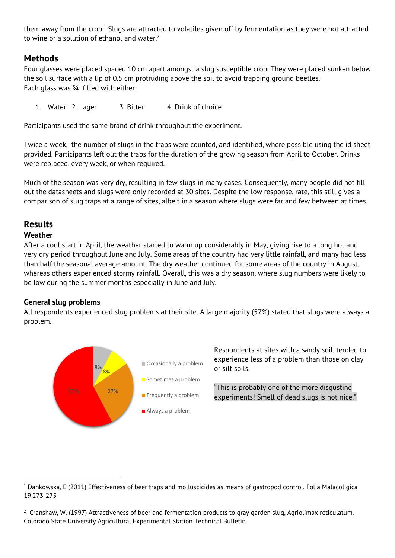<span id="page-1-0"></span>them away from the crop.<sup>1</sup> Slugs are attracted to volatiles given off by fermentation as they were not attracted to wine or a solution of ethanol and water.<sup>2</sup>

## **Methods**

Four glasses were placed spaced 10 cm apart amongst a slug susceptible crop. They were placed sunken below the soil surface with a lip of 0.5 cm protruding above the soil to avoid trapping ground beetles. Each glass was ¾ filled with either:

1. Water 2. Lager 3. Bitter 4. Drink of choice

Participants used the same brand of drink throughout the experiment.

Twice a week, the number of slugs in the traps were counted, and identified, where possible using the id sheet provided. Participants left out the traps for the duration of the growing season from April to October. Drinks were replaced, every week, or when required.

Much of the season was very dry, resulting in few slugs in many cases. Consequently, many people did not fill out the datasheets and slugs were only recorded at 30 sites. Despite the low response, rate, this still gives a comparison of slug traps at a range of sites, albeit in a season where slugs were far and few between at times.

## **Results**

#### **Weather**

-

After a cool start in April, the weather started to warm up considerably in May, giving rise to a long hot and very dry period throughout June and July. Some areas of the country had very little rainfall, and many had less than half the seasonal average amount. The dry weather continued for some areas of the country in August, whereas others experienced stormy rainfall. Overall, this was a dry season, where slug numbers were likely to be low during the summer months especially in June and July.

#### **General slug problems**

All respondents experienced slug problems at their site. A large majority (57%) stated that slugs were always a problem.



Respondents at sites with a sandy soil, tended to experience less of a problem than those on clay or silt soils.

"This is probably one of the more disgusting experiments! Smell of dead slugs is not nice."

 $1$  Dankowska, E (2011) Effectiveness of beer traps and molluscicides as means of gastropod control. Folia Malacoligica 19:273-275

 $^2$  Cranshaw, W. (1997) Attractiveness of beer and fermentation products to gray garden slug, Agriolimax reticulatum. Colorado State University Agricultural Experimental Station Technical Bulletin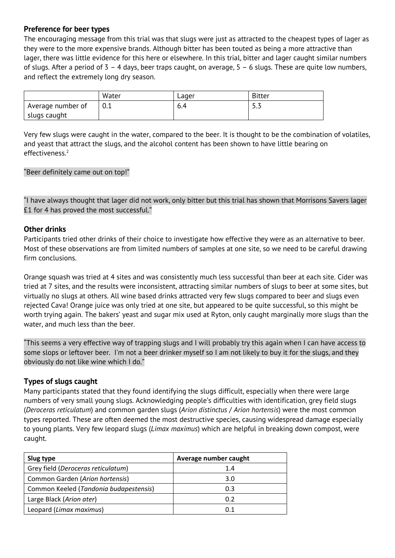#### **Preference for beer types**

The encouraging message from this trial was that slugs were just as attracted to the cheapest types of lager as they were to the more expensive brands. Although bitter has been touted as being a more attractive than lager, there was little evidence for this here or elsewhere. In this trial, bitter and lager caught similar numbers of slugs. After a period of 3 – 4 days, beer traps caught, on average, 5 – 6 slugs. These are quite low numbers, and reflect the extremely long dry season.

|                   | Water | Lager | <b>Bitter</b> |
|-------------------|-------|-------|---------------|
| Average number of |       | 6.4   | ر . ر         |
| slugs caught      |       |       |               |

Very few slugs were caught in the water, compared to the beer. It is thought to be the combination of volatiles, and yeast that attract the slugs, and the alcohol content has been shown to have little bearing on effectiveness.<sup>[2](#page-1-0)</sup>

#### "Beer definitely came out on top!"

"I have always thought that lager did not work, only bitter but this trial has shown that Morrisons Savers lager £1 for 4 has proved the most successful."

#### **Other drinks**

Participants tried other drinks of their choice to investigate how effective they were as an alternative to beer. Most of these observations are from limited numbers of samples at one site, so we need to be careful drawing firm conclusions.

Orange squash was tried at 4 sites and was consistently much less successful than beer at each site. Cider was tried at 7 sites, and the results were inconsistent, attracting similar numbers of slugs to beer at some sites, but virtually no slugs at others. All wine based drinks attracted very few slugs compared to beer and slugs even rejected Cava! Orange juice was only tried at one site, but appeared to be quite successful, so this might be worth trying again. The bakers' yeast and sugar mix used at Ryton, only caught marginally more slugs than the water, and much less than the beer.

"This seems a very effective way of trapping slugs and I will probably try this again when I can have access to some slops or leftover beer. I'm not a beer drinker myself so I am not likely to buy it for the slugs, and they obviously do not like wine which I do."

#### **Types of slugs caught**

Many participants stated that they found identifying the slugs difficult, especially when there were large numbers of very small young slugs. Acknowledging people's difficulties with identification, grey field slugs (*Deroceras reticulatum*) and common garden slugs (*Arion distinctus* / *Arion hortensis*) were the most common types reported. These are often deemed the most destructive species, causing widespread damage especially to young plants. Very few leopard slugs (*Limax maximus*) which are helpful in breaking down compost, were caught.

| Slug type                              | Average number caught |  |
|----------------------------------------|-----------------------|--|
| Grey field (Deroceras reticulatum)     | 1.4                   |  |
| Common Garden (Arion hortensis)        | 3.0                   |  |
| Common Keeled (Tandonia budapestensis) | 0.3                   |  |
| Large Black (Arion ater)               | 0.2                   |  |
| Leopard (Limax maximus)                | 0.1                   |  |